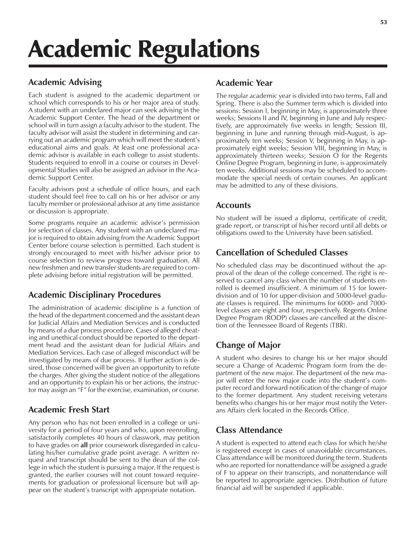# Academic Regulations

# **Academic Advising**

Each student is assigned to the academic department or school which corresponds to his or her major area of study. A student with an undeclared major can seek advising in the Academic Support Center. The head of the department or school will in turn assign a faculty advisor to the student. The faculty advisor will assist the student in determining and carrying out an academic program which will meet the student's educational aims and goals. At least one professional academic advisor is available in each college to assist students. Students required to enroll in a course or courses in Developmental Studies will also be assigned an advisor in the Academic Support Center.

Faculty advisors post a schedule of office hours, and each student should feel free to call on his or her advisor or any faculty member or professional advisor at any time assistance or discussion is appropriate.

Some programs require an academic advisor's permission for selection of classes. Any student with an undeclared major is required to obtain advising from the Academic Support Center before course selection is permitted. Each student is strongly encouraged to meet with his/her advisor prior to course selection to review progress toward graduation. All new freshmen and new transfer students are required to complete advising before initial registration will be permitted.

# **Academic Disciplinary Procedures**

The administration of academic discipline is a function of the head of the department concerned and the assistant dean for Judicial Affairs and Mediation Services and is conducted by means of a due process procedure. Cases of alleged cheating and unethical conduct should be reported to the department head and the assistant dean for Judicial Affairs and Mediation Services. Each case of alleged misconduct will be investigated by means of due process. If further action is desired, those concerned will be given an opportunity to refute the charges. After giving the student notice of the allegations and an opportunity to explain his or her actions, the instructor may assign an "F" for the exercise, examination, or course.

# **Academic Fresh Start**

Any person who has not been enrolled in a college or university for a period of four years and who, upon reenrolling, satisfactorily completes 40 hours of classwork, may petition to have grades on **all** prior coursework disregarded in calculating his/her cumulative grade point average. A written request and transcript should be sent to the dean of the college in which the student is pursuing a major. If the request is granted, the earlier courses will not count toward requirements for graduation or professional licensure but will appear on the student's transcript with appropriate notation.

# **Academic Year**

The regular academic year is divided into two terms, Fall and Spring. There is also the Summer term which is divided into sessions: Session I, beginning in May, is approximately three weeks; Sessions II and IV, beginning in June and July respectively, are approximately five weeks in length; Session III, beginning in June and running through mid-August, is approximately ten weeks; Session V, beginning in May, is approximately eight weeks; Session VIII, beginning in May, is approximately thirteen weeks; Session O for the Regents Online Degree Program, beginning in June, is approximately ten weeks. Additional sessions may be scheduled to accommodate the special needs of certain courses. An applicant may be admitted to any of these divisions.

## **Accounts**

No student will be issued a diploma, certificate of credit, grade report, or transcript of his/her record until all debts or obligations owed to the University have been satisfied.

# **Cancellation of Scheduled Classes**

No scheduled class may be discontinued without the approval of the dean of the college concerned. The right is reserved to cancel any class when the number of students enrolled is deemed insufficient. A minimum of 15 for lowerdivision and of 10 for upper-division and 5000-level graduate classes is required. The minimums for 6000- and 7000 level classes are eight and four, respectively. Regents Online Degree Program (RODP) classes are cancelled at the discretion of the Tennessee Board of Regents (TBR).

# **Change of Major**

A student who desires to change his or her major should secure a Change of Academic Program form from the department of the new major. The department of the new major will enter the new major code into the student's computer record and forward notification of the change of major to the former department. Any student receiving veterans benefits who changes his or her major must notify the Veterans Affairs clerk located in the Records Office.

# **Class Attendance**

A student is expected to attend each class for which he/she is registered except in cases of unavoidable circumstances. Class attendance will be monitored during the term. Students who are reported for nonattendance will be assigned a grade of F to appear on their transcripts, and nonattendance will be reported to appropriate agencies. Distribution of future financial aid will be suspended if applicable.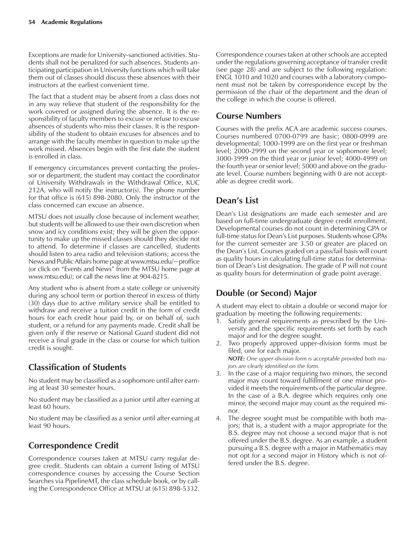Exceptions are made for University-sanctioned activities. Students shall not be penalized for such absences. Students anticipating participation in University functions which will take them out of classes should discuss these absences with their instructors at the earliest convenient time.

The fact that a student may be absent from a class does not in any way relieve that student of the responsibility for the work covered or assigned during the absence. It is the responsibility of faculty members to excuse or refuse to excuse absences of students who miss their classes. It is the responsibility of the student to obtain excuses for absences and to arrange with the faculty member in question to make up the work missed. Absences begin with the first date the student is enrolled in class.

If emergency circumstances prevent contacting the professor or department, the student may contact the coordinator of University Withdrawals in the Withdrawal Office, KUC 212A, who will notify the instructor(s). The phone number for that office is (615) 898-2080. Only the instructor of the class concerned can excuse an absence.

MTSU does not usually close because of inclement weather, but students will be allowed to use their own discretion when snow and icy conditions exist; they will be given the opportunity to make up the missed classes should they decide not to attend. To determine if classes are cancelled, students should listen to area radio and television stations; access the News and Public Affairs home page at www.mtsu.edu/~proffice (or click on "Events and News" from the MTSU home page at www.mtsu.edu); or call the news line at 904-8215.

Any student who is absent from a state college or university during any school term or portion thereof in excess of thirty (30) days due to active military service shall be entitled to withdraw and receive a tuition credit in the form of credit hours for each credit hour paid by, or on behalf of, such student, or a refund for any payments made. Credit shall be given only if the reserve or National Guard student did not receive a final grade in the class or course for which tuition credit is sought.

# **Classification of Students**

No student may be classified as a sophomore until after earning at least 30 semester hours.

No student may be classified as a junior until after earning at least 60 hours.

No student may be classified as a senior until after earning at least 90 hours.

# **Correspondence Credit**

Correspondence courses taken at MTSU carry regular degree credit. Students can obtain a current listing of MTSU correspondence courses by accessing the Course Section Searches via PipelineMT, the class schedule book, or by calling the Correspondence Office at MTSU at (615) 898-5332.

Correspondence courses taken at other schools are accepted under the regulations governing acceptance of transfer credit (see page 28) and are subject to the following regulation: ENGL 1010 and 1020 and courses with a laboratory component must not be taken by correspondence except by the permission of the chair of the department and the dean of the college in which the course is offered.

## **Course Numbers**

Courses with the prefix ACA are academic success courses. Courses numbered 0700-0799 are basic; 0800-0999 are developmental; 1000-1999 are on the first year or freshman level; 2000-2999 on the second year or sophomore level; 3000-3999 on the third year or junior level; 4000-4999 on the fourth year or senior level; 5000 and above on the graduate level. Course numbers beginning with 0 are not acceptable as degree credit work.

## Dean's List

Dean's List designations are made each semester and are based on full-time undergraduate degree credit enrollment. Developmental courses do not count in determining GPA or full-time status for Dean's List purposes. Students whose GPAs for the current semester are 3.50 or greater are placed on the Deanís List. Courses graded on a pass/fail basis will count as quality hours in calculating full-time status for determination of Dean's List designation. The grade of P will not count as quality hours for determination of grade point average.

# **Double (or Second) Major**

A student may elect to obtain a double or second major for graduation by meeting the following requirements:

- Satisfy general requirements as prescribed by the University and the specific requirements set forth by each major and for the degree sought.
- 2. Two properly approved upper-division forms must be filed, one for each major.

*NOTE: One upper-division form is acceptable provided both majors are clearly identified on the form.*

- 3. In the case of a major requiring two minors, the second major may count toward fulfillment of one minor provided it meets the requirements of the particular degree. In the case of a B.A. degree which requires only one minor, the second major may count as the required minor.
- 4. The degree sought must be compatible with both majors; that is, a student with a major appropriate for the B.S. degree may not choose a second major that is not offered under the B.S. degree. As an example, a student pursuing a B.S. degree with a major in Mathematics may not opt for a second major in History which is not offered under the B.S. degree.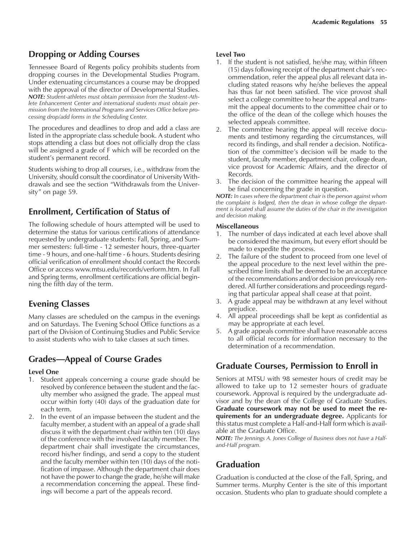## **Dropping or Adding Courses**

Tennessee Board of Regents policy prohibits students from dropping courses in the Developmental Studies Program. Under extenuating circumstances a course may be dropped with the approval of the director of Developmental Studies. *NOTE: Student-athletes must obtain permission from the Student-Athlete Enhancement Center and international students must obtain permission from the International Programs and Services Office before processing drop/add forms in the Scheduling Center.*

The procedures and deadlines to drop and add a class are listed in the appropriate class schedule book. A student who stops attending a class but does not officially drop the class will be assigned a grade of F which will be recorded on the student's permanent record.

Students wishing to drop all courses, i.e., withdraw from the University, should consult the coordinator of University Withdrawals and see the section "Withdrawals from the University" on page 59.

## **Enrollment, Certification of Status of**

The following schedule of hours attempted will be used to determine the status for various certifications of attendance requested by undergraduate students: Fall, Spring, and Summer semesters: full-time - 12 semester hours, three-quarter time - 9 hours, and one-half time - 6 hours. Students desiring official verification of enrollment should contact the Records Office or access www.mtsu.edu/records/verform.htm. In Fall and Spring terms, enrollment certifications are official beginning the fifth day of the term.

# **Evening Classes**

Many classes are scheduled on the campus in the evenings and on Saturdays. The Evening School Office functions as a part of the Division of Continuing Studies and Public Service to assist students who wish to take classes at such times.

# **Grades—Appeal of Course Grades**

#### **Level One**

- 1. Student appeals concerning a course grade should be resolved by conference between the student and the faculty member who assigned the grade. The appeal must occur within forty (40) days of the graduation date for each term.
- 2. In the event of an impasse between the student and the faculty member, a student with an appeal of a grade shall discuss it with the department chair within ten (10) days of the conference with the involved faculty member. The department chair shall investigate the circumstances, record his/her findings, and send a copy to the student and the faculty member within ten (10) days of the notification of impasse. Although the department chair does not have the power to change the grade, he/she will make a recommendation concerning the appeal. These findings will become a part of the appeals record.

#### **Level Two**

- 1. If the student is not satisfied, he/she may, within fifteen  $(15)$  days following receipt of the department chair's recommendation, refer the appeal plus all relevant data including stated reasons why he/she believes the appeal has thus far not been satisfied. The vice provost shall select a college committee to hear the appeal and transmit the appeal documents to the committee chair or to the office of the dean of the college which houses the selected appeals committee.
- 2. The committee hearing the appeal will receive documents and testimony regarding the circumstances, will record its findings, and shall render a decision. Notification of the committee's decision will be made to the student, faculty member, department chair, college dean, vice provost for Academic Affairs, and the director of Records.
- 3. The decision of the committee hearing the appeal will be final concerning the grade in question.

*NOTE: In cases where the department chair is the person against whom the complaint is lodged, then the dean in whose college the department is located shall assume the duties of the chair in the investigation and decision making.*

#### **Miscellaneous**

- 1. The number of days indicated at each level above shall be considered the maximum, but every effort should be made to expedite the process.
- 2. The failure of the student to proceed from one level of the appeal procedure to the next level within the prescribed time limits shall be deemed to be an acceptance of the recommendations and/or decision previously rendered. All further considerations and proceedings regarding that particular appeal shall cease at that point.
- 3. A grade appeal may be withdrawn at any level without prejudice.
- 4. All appeal proceedings shall be kept as confidential as may be appropriate at each level.
- 5. A grade appeals committee shall have reasonable access to all official records for information necessary to the determination of a recommendation.

## **Graduate Courses, Permission to Enroll in**

Seniors at MTSU with 98 semester hours of credit may be allowed to take up to 12 semester hours of graduate coursework. Approval is required by the undergraduate advisor and by the dean of the College of Graduate Studies. **Graduate coursework may not be used to meet the requirements for an undergraduate degree.** Applicants for this status must complete a Half-and-Half form which is available at the Graduate Office.

*NOTE: The Jennings A. Jones College of Business does not have a Halfand-Half program.*

# **Graduation**

Graduation is conducted at the close of the Fall, Spring, and Summer terms. Murphy Center is the site of this important occasion. Students who plan to graduate should complete a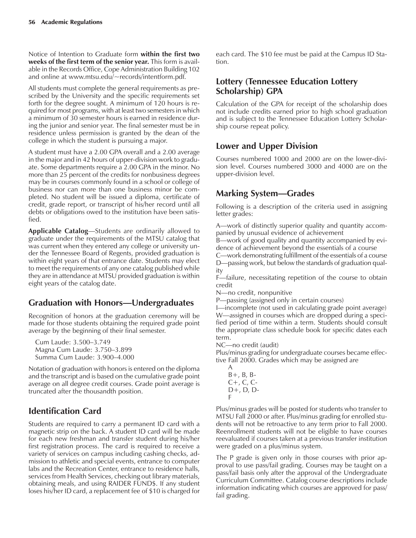Notice of Intention to Graduate form **within the first two weeks of the first term of the senior year.** This form is available in the Records Office, Cope Administration Building 102 and online at www.mtsu.edu/~records/intentform.pdf.

All students must complete the general requirements as prescribed by the University and the specific requirements set forth for the degree sought. A minimum of 120 hours is required for most programs, with at least two semesters in which a minimum of 30 semester hours is earned in residence during the junior and senior year. The final semester must be in residence unless permission is granted by the dean of the college in which the student is pursuing a major.

A student must have a 2.00 GPA overall and a 2.00 average in the major and in 42 hours of upper-division work to graduate. Some departments require a 2.00 GPA in the minor. No more than 25 percent of the credits for nonbusiness degrees may be in courses commonly found in a school or college of business nor can more than one business minor be completed. No student will be issued a diploma, certificate of credit, grade report, or transcript of his/her record until all debts or obligations owed to the institution have been satisfied.

**Applicable Catalog**—Students are ordinarily allowed to graduate under the requirements of the MTSU catalog that was current when they entered any college or university under the Tennessee Board of Regents, provided graduation is within eight years of that entrance date. Students may elect to meet the requirements of any one catalog published while they are in attendance at MTSU provided graduation is within eight years of the catalog date.

## **Graduation with Honors—Undergraduates**

Recognition of honors at the graduation ceremony will be made for those students obtaining the required grade point average by the beginning of their final semester.

Cum Laude: 3.500-3.749 Magna Cum Laude: 3.750-3.899 Summa Cum Laude: 3.900-4.000

Notation of graduation with honors is entered on the diploma and the transcript and is based on the cumulative grade point average on all degree credit courses. Grade point average is truncated after the thousandth position.

# **Identification Card**

Students are required to carry a permanent ID card with a magnetic strip on the back. A student ID card will be made for each new freshman and transfer student during his/her first registration process. The card is required to receive a variety of services on campus including cashing checks, admission to athletic and special events, entrance to computer labs and the Recreation Center, entrance to residence halls, services from Health Services, checking out library materials, obtaining meals, and using RAIDER FUND\$. If any student loses his/her ID card, a replacement fee of \$10 is charged for each card. The \$10 fee must be paid at the Campus ID Station.

## **Lottery (Tennessee Education Lottery Scholarship) GPA**

Calculation of the GPA for receipt of the scholarship does not include credits earned prior to high school graduation and is subject to the Tennessee Education Lottery Scholarship course repeat policy.

## **Lower and Upper Division**

Courses numbered 1000 and 2000 are on the lower-division level. Courses numbered 3000 and 4000 are on the upper-division level.

# **Marking System—Grades**

Following is a description of the criteria used in assigning letter grades:

A—work of distinctly superior quality and quantity accompanied by unusual evidence of achievement

B—work of good quality and quantity accompanied by evidence of achievement beyond the essentials of a course

C—work demonstrating fulfillment of the essentials of a course D—passing work, but below the standards of graduation quality

F—failure, necessitating repetition of the course to obtain credit

N-no credit, nonpunitive

P—passing (assigned only in certain courses)

I—incomplete (not used in calculating grade point average) W—assigned in courses which are dropped during a specified period of time within a term. Students should consult the appropriate class schedule book for specific dates each term.

NC—no credit (audit)

Plus/minus grading for undergraduate courses became effective Fall 2000. Grades which may be assigned are

A  $B+$ ,  $B$ ,  $B-$ C+, C, C-D+, D, D-F

Plus/minus grades will be posted for students who transfer to MTSU Fall 2000 or after. Plus/minus grading for enrolled students will not be retroactive to any term prior to Fall 2000. Reenrollment students will not be eligible to have courses reevaluated if courses taken at a previous transfer institution were graded on a plus/minus system.

The P grade is given only in those courses with prior approval to use pass/fail grading. Courses may be taught on a pass/fail basis only after the approval of the Undergraduate Curriculum Committee. Catalog course descriptions include information indicating which courses are approved for pass/ fail grading.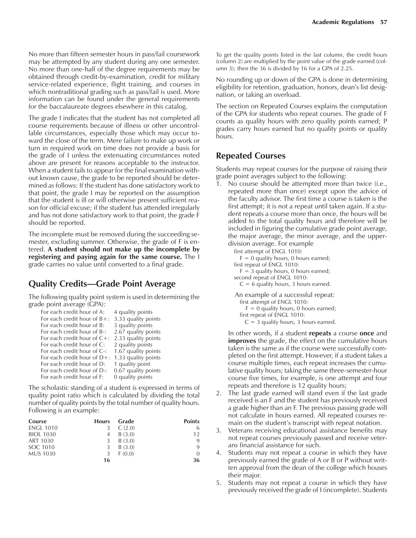No more than fifteen semester hours in pass/fail coursework may be attempted by any student during any one semester. No more than one-half of the degree requirements may be obtained through credit-by-examination, credit for military service-related experience, flight training, and courses in which nontraditional grading such as pass/fail is used. More information can be found under the general requirements for the baccalaureate degrees elsewhere in this catalog.

The grade I indicates that the student has not completed all course requirements because of illness or other uncontrollable circumstances, especially those which may occur toward the close of the term. Mere failure to make up work or turn in required work on time does not provide a basis for the grade of I unless the extenuating circumstances noted above are present for reasons acceptable to the instructor. When a student fails to appear for the final examination without known cause, the grade to be reported should be determined as follows: If the student has done satisfactory work to that point, the grade I may be reported on the assumption that the student is ill or will otherwise present sufficient reason for official excuse; if the student has attended irregularly and has not done satisfactory work to that point, the grade F should be reported.

The incomplete must be removed during the succeeding semester, excluding summer. Otherwise, the grade of F is entered. **A student should not make up the incomplete by registering and paying again for the same course.** The I grade carries no value until converted to a final grade.

#### **Quality Credits—Grade Point Average**

The following quality point system is used in determining the grade point average (GPA):

| For each credit hour of A:     | 4 quality points    |
|--------------------------------|---------------------|
| For each credit hour of $B+$ : | 3.33 quality points |
| For each credit hour of B:     | 3 quality points    |
| For each credit hour of B-:    | 2.67 quality points |
| For each credit hour of $C+$ : | 2.33 quality points |
| For each credit hour of C:     | 2 quality points    |
| For each credit hour of C-:    | 1.67 quality points |
| For each credit hour of $D+$ : | 1.33 quality points |
| For each credit hour of D:     | 1 quality point     |
| For each credit hour of D-:    | 0.67 quality points |
| For each credit hour of F:     | 0 quality points    |

The scholastic standing of a student is expressed in terms of quality point ratio which is calculated by dividing the total number of quality points by the total number of quality hours. Following is an example:

| Course           | <b>Hours</b> | - Grade | <b>Points</b> |
|------------------|--------------|---------|---------------|
| <b>ENGL 1010</b> |              | C(2.0)  | 6             |
| <b>BIOL 1030</b> |              | B(3.0)  | 12            |
| ART 1030         |              | B(3.0)  | 9             |
| SOC 1010         | 3            | B(3.0)  | 9             |
| <b>MUS 1030</b>  | 3            | F(0,0)  | $\Omega$      |
|                  | 16           |         | 36            |

To get the quality points listed in the last column, the credit hours (column 2) are multiplied by the point value of the grade earned (column 3); then the 36 is divided by 16 for a GPA of 2.25.

No rounding up or down of the GPA is done in determining eligibility for retention, graduation, honors, dean's list designation, or taking an overload.

The section on Repeated Courses explains the computation of the GPA for students who repeat courses. The grade of F counts as quality hours with zero quality points earned; P grades carry hours earned but no quality points or quality hours.

#### **Repeated Courses**

Students may repeat courses for the purpose of raising their grade point averages subject to the following:

1. No course should be attempted more than twice (i.e., repeated more than once) except upon the advice of the faculty advisor. The first time a course is taken is the first attempt; it is not a repeat until taken again. If a student repeats a course more than once, the hours will be added to the total quality hours and therefore will be included in figuring the cumulative grade point average, the major average, the minor average, and the upperdivision average. For example

> first attempt of ENGL 1010:  $F = 0$  quality hours, 0 hours earned; first repeat of ENGL 1010:

- $F = 3$  quality hours, 0 hours earned;
- second repeat of ENGL 1010:

 $C = 6$  quality hours, 3 hours earned.

An example of a successful repeat:

first attempt of ENGL 1010:

- $F = 0$  quality hours, 0 hours earned;
- first repeat of ENGL 1010:
	- $C = 3$  quality hours, 3 hours earned.

In other words, if a student **repeats** a course **once** and **improves** the grade, the effect on the cumulative hours taken is the same as if the course were successfully completed on the first attempt. However, if a student takes a course multiple times, each repeat increases the cumulative quality hours; taking the same three-semester-hour course five times, for example, is one attempt and four repeats and therefore is 12 quality hours;

- 2. The last grade earned will stand even if the last grade received is an F and the student has previously received a grade higher than an F. The previous passing grade will not calculate in hours earned. All repeated courses remain on the student's transcript with repeat notation.
- 3. Veterans receiving educational assistance benefits may not repeat courses previously passed and receive veterans financial assistance for such.
- 4. Students may not repeat a course in which they have previously earned the grade of A or B or P without written approval from the dean of the college which houses their major.
- 5. Students may not repeat a course in which they have previously received the grade of I (incomplete). Students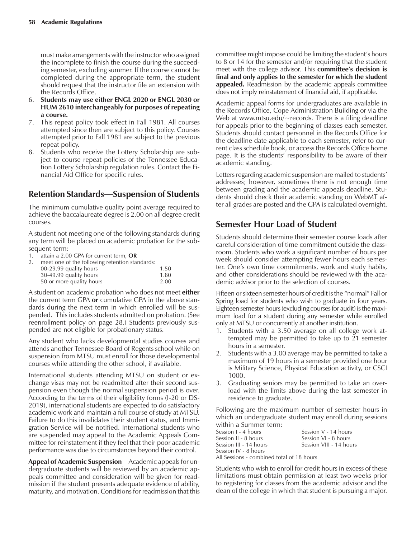must make arrangements with the instructor who assigned the incomplete to finish the course during the succeeding semester, excluding summer. If the course cannot be completed during the appropriate term, the student should request that the instructor file an extension with the Records Office.

- 6. **Students may use either ENGL 2020 or ENGL 2030 or HUM 2610 interchangeably for purposes of repeating a course.**
- 7. This repeat policy took effect in Fall 1981. All courses attempted since then are subject to this policy. Courses attempted prior to Fall 1981 are subject to the previous repeat policy.
- Students who receive the Lottery Scholarship are subject to course repeat policies of the Tennessee Education Lottery Scholarship regulation rules. Contact the Financial Aid Office for specific rules.

## **Retention Standards-Suspension of Students**

The minimum cumulative quality point average required to achieve the baccalaureate degree is 2.00 on all degree credit courses.

A student not meeting one of the following standards during any term will be placed on academic probation for the subsequent term:

- 1. attain a 2.00 GPA for current term, **OR**
- 2. meet one of the following retention standards: 00-29.99 quality hours 1.50

| 30-49.99 quality hours   | 1.80 |
|--------------------------|------|
| 50 or more quality hours | 2.00 |

A student on academic probation who does not meet **either** the current term GPA **or** cumulative GPA in the above standards during the next term in which enrolled will be suspended. This includes students admitted on probation. (See reenrollment policy on page 28.) Students previously suspended are not eligible for probationary status.

Any student who lacks developmental studies courses and attends another Tennessee Board of Regents school while on suspension from MTSU must enroll for those developmental courses while attending the other school, if available.

International students attending MTSU on student or exchange visas may not be readmitted after their second suspension even though the normal suspension period is over. According to the terms of their eligibility forms (I-20 or DS-2019), international students are expected to do satisfactory academic work and maintain a full course of study at MTSU. Failure to do this invalidates their student status, and Immigration Service will be notified. International students who are suspended may appeal to the Academic Appeals Committee for reinstatement if they feel that their poor academic performance was due to circumstances beyond their control.

Appeal of Academic Suspension—Academic appeals for undergraduate students will be reviewed by an academic appeals committee and consideration will be given for readmission if the student presents adequate evidence of ability, maturity, and motivation. Conditions for readmission that this

committee might impose could be limiting the student's hours to 8 or 14 for the semester and/or requiring that the student meet with the college advisor. This **committee's decision is final and only applies to the semester for which the student appealed.** Readmission by the academic appeals committee does not imply reinstatement of financial aid, if applicable.

Academic appeal forms for undergraduates are available in the Records Office, Cope Administration Building or via the Web at www.mtsu.edu/~records. There is a filing deadline for appeals prior to the beginning of classes each semester. Students should contact personnel in the Records Office for the deadline date applicable to each semester, refer to current class schedule book, or access the Records Office home page. It is the students' responsibility to be aware of their academic standing.

Letters regarding academic suspension are mailed to students' addresses; however, sometimes there is not enough time between grading and the academic appeals deadline. Students should check their academic standing on WebMT after all grades are posted and the GPA is calculated overnight.

## **Semester Hour Load of Student**

Students should determine their semester course loads after careful consideration of time commitment outside the classroom. Students who work a significant number of hours per week should consider attempting fewer hours each semester. One's own time commitments, work and study habits, and other considerations should be reviewed with the academic advisor prior to the selection of courses.

Fifteen or sixteen semester hours of credit is the "normal" Fall or Spring load for students who wish to graduate in four years. Eighteen semester hours (excluding courses for audit) is the maximum load for a student during any semester while enrolled only at MTSU or concurrently at another institution.

- 1. Students with a 3.50 average on all college work attempted may be permitted to take up to 21 semester hours in a semester.
- 2. Students with a 3.00 average may be permitted to take a maximum of 19 hours in a semester provided one hour is Military Science, Physical Education activity, or CSCI 1000.
- 3. Graduating seniors may be permitted to take an overload with the limits above during the last semester in residence to graduate.

Following are the maximum number of semester hours in which an undergraduate student may enroll during sessions within a Summer term:

| Session 1 - 4 hours                       | Session $V - 14$ hours  |
|-------------------------------------------|-------------------------|
| Session II - 8 hours                      | Session VI - 8 hours    |
| Session III - 14 hours                    | Session VIII - 14 hours |
| Session IV - 8 hours                      |                         |
| All Sessions - combined total of 18 hours |                         |

Students who wish to enroll for credit hours in excess of these limitations must obtain permission at least two weeks prior to registering for classes from the academic advisor and the dean of the college in which that student is pursuing a major.